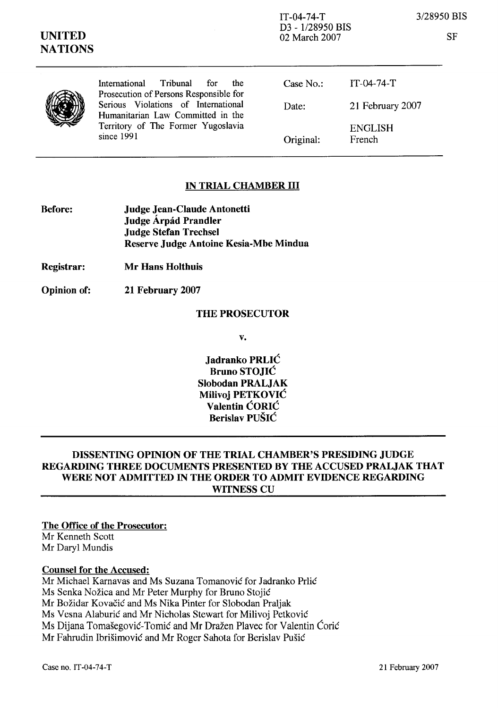IT-04-74-T 3128950 BIS D3 - 1/28950 BIS 02 March 2007

**SF** 

|  | International Tribunal<br>the<br>for                                                                                                                                   | Case No.: | IT-04-74-T               |
|--|------------------------------------------------------------------------------------------------------------------------------------------------------------------------|-----------|--------------------------|
|  | Prosecution of Persons Responsible for<br>Serious Violations of International<br>Humanitarian Law Committed in the<br>Territory of The Former Yugoslavia<br>since 1991 | Date:     | 21 February 2007         |
|  |                                                                                                                                                                        | Original: | <b>ENGLISH</b><br>French |

## IN TRIAL CHAMBER III

| <b>Before:</b> | <b>Judge Jean-Claude Antonetti</b>     |
|----------------|----------------------------------------|
|                | Judge Árpád Prandler                   |
|                | <b>Judge Stefan Trechsel</b>           |
|                | Reserve Judge Antoine Kesia-Mbe Mindua |

Registrar: Mr Hans Holthuis

Opinion of: **21** February **2007** 

## THE PROSECUTOR

v.

 $J$ adranko PRLIĆ Bruno STOJIC Slobodan PRALJAK Milivoj PETKOVIC Valentin CORIC Berislav PUSIC

# DISSENTING OPINION OF THE TRIAL CHAMBER'S PRESIDING JUDGE REGARDING THREE DOCUMENTS PRESENTED BY THE ACCUSED PRALJAK THAT WERE NOT ADMITTED IN THE ORDER TO ADMIT EVIDENCE REGARDING WITNESS CU

The Office of the Prosecutor:

Mr Kenneth Scott Mr Daryl Mundis

## Counsel for the Accused:

Mr Michael Karnavas and Ms Suzana Tomanović for Jadranko Prlić Ms Senka Nožica and Mr Peter Murphy for Bruno Stojić Mr Božidar Kovačić and Ms Nika Pinter for Slobodan Praljak Ms Vesna Alaburić and Mr Nicholas Stewart for Milivoj Petković Ms Dijana Tomašegović-Tomić and Mr Dražen Plavec for Valentin Ćorić Mr Fahrudin Ibrišimović and Mr Roger Sahota for Berislav Pušić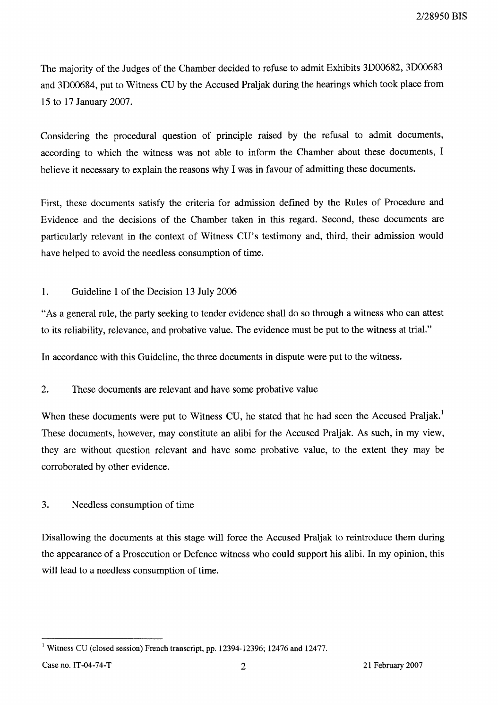The majority of the Judges of the Chamber decided to refuse to admit Exhibits 3D00682, 3D00683 and 3D00684, put to Witness CU by the Accused Praljak during the hearings which took place from 15 to 17 January 2007.

Considering the procedural question of principle raised by the refusal to admit documents, according to which the witness was not able to inform the Chamber about these documents, I believe it necessary to explain the reasons why I was in favour of admitting these documents.

First, these documents satisfy the criteria for admission defined by the Rules of Procedure and Evidence and the decisions of the Chamber taken in this regard. Second, these documents are particularly relevant in the context of Witness CU's testimony and, third, their admission would have helped to avoid the needless consumption of time.

#### 1. Guideline 1 of the Decision 13 July 2006

"As a general rule, the party seeking to tender evidence shall do so through a witness who can attest to its reliability, relevance, and probative value. The evidence must be put to the witness at trial."

In accordance with this Guideline, the three documents in dispute were put to the witness.

#### $2.$ These documents are relevant and have some probative value

When these documents were put to Witness CU, he stated that he had seen the Accused Praljak.<sup>1</sup> These documents, however, may constitute an alibi for the Accused Praljak. As such, in my view, they are without question relevant and have some probative value, to the extent they may be corroborated by other evidence.

### 3. Needless consumption of time

Disallowing the documents at this stage will force the Accused Praljak to reintroduce them during the appearance of a Prosecution or Defence witness who could support his alibi. In my opinion, this will lead to a needless consumption of time.

<sup>&</sup>lt;sup>1</sup> Witness CU (closed session) French transcript, pp. 12394-12396; 12476 and 12477.

Case no. IT-04-74-T